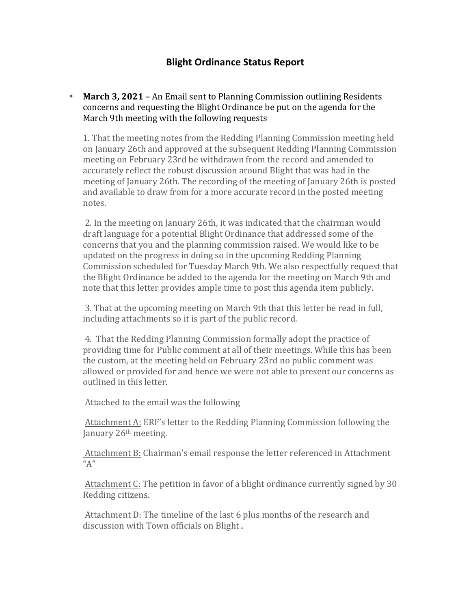## **Blight Ordinance Status Report**

• March 3, 2021 - An Email sent to Planning Commission outlining Residents concerns and requesting the Blight Ordinance be put on the agenda for the March 9th meeting with the following requests

1. That the meeting notes from the Redding Planning Commission meeting held on January 26th and approved at the subsequent Redding Planning Commission meeting on February 23rd be withdrawn from the record and amended to accurately reflect the robust discussion around Blight that was had in the meeting of January 26th. The recording of the meeting of January 26th is posted and available to draw from for a more accurate record in the posted meeting notes.

2. In the meeting on January 26th, it was indicated that the chairman would draft language for a potential Blight Ordinance that addressed some of the concerns that you and the planning commission raised. We would like to be updated on the progress in doing so in the upcoming Redding Planning Commission scheduled for Tuesday March 9th. We also respectfully request that the Blight Ordinance be added to the agenda for the meeting on March 9th and note that this letter provides ample time to post this agenda item publicly.

3. That at the upcoming meeting on March 9th that this letter be read in full, including attachments so it is part of the public record.

4. That the Redding Planning Commission formally adopt the practice of providing time for Public comment at all of their meetings. While this has been the custom, at the meeting held on February 23rd no public comment was allowed or provided for and hence we were not able to present our concerns as outlined in this letter.

Attached to the email was the following

Attachment A: ERF's letter to the Redding Planning Commission following the January 26<sup>th</sup> meeting.

Attachment B: Chairman's email response the letter referenced in Attachment  $^{\prime\prime}$ A"

Attachment C: The petition in favor of a blight ordinance currently signed by 30 Redding citizens.

Attachment D: The timeline of the last 6 plus months of the research and discussion with Town officials on Blight.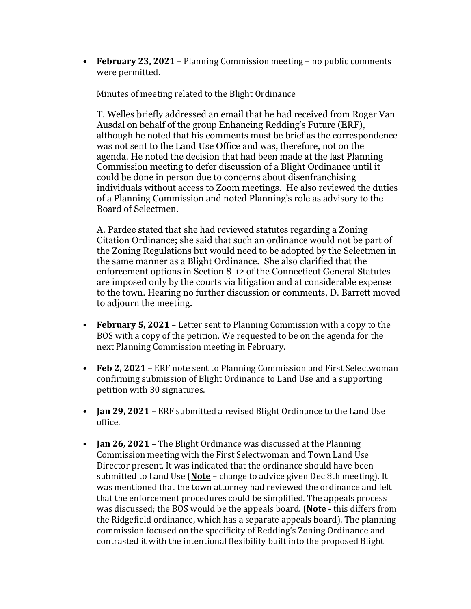• **February 23, 2021** – Planning Commission meeting – no public comments were permitted.

Minutes of meeting related to the Blight Ordinance

T. Welles briefly addressed an email that he had received from Roger Van Ausdal on behalf of the group Enhancing Redding's Future (ERF), although he noted that his comments must be brief as the correspondence was not sent to the Land Use Office and was, therefore, not on the agenda. He noted the decision that had been made at the last Planning Commission meeting to defer discussion of a Blight Ordinance until it could be done in person due to concerns about disenfranchising individuals without access to Zoom meetings. He also reviewed the duties of a Planning Commission and noted Planning's role as advisory to the Board of Selectmen.

A. Pardee stated that she had reviewed statutes regarding a Zoning Citation Ordinance; she said that such an ordinance would not be part of the Zoning Regulations but would need to be adopted by the Selectmen in the same manner as a Blight Ordinance. She also clarified that the enforcement options in Section 8-12 of the Connecticut General Statutes are imposed only by the courts via litigation and at considerable expense to the town. Hearing no further discussion or comments, D. Barrett moved to adjourn the meeting.

- **February 5, 2021** Letter sent to Planning Commission with a copy to the BOS with a copy of the petition. We requested to be on the agenda for the next Planning Commission meeting in February.
- **Feb 2, 2021** ERF note sent to Planning Commission and First Selectwoman confirming submission of Blight Ordinance to Land Use and a supporting petition with 30 signatures.
- **Jan 29, 2021** ERF submitted a revised Blight Ordinance to the Land Use office.
- **Jan 26, 2021** The Blight Ordinance was discussed at the Planning Commission meeting with the First Selectwoman and Town Land Use Director present. It was indicated that the ordinance should have been submitted to Land Use (**Note** – change to advice given Dec 8th meeting). It was mentioned that the town attorney had reviewed the ordinance and felt that the enforcement procedures could be simplified. The appeals process was discussed; the BOS would be the appeals board. (Note - this differs from the Ridgefield ordinance, which has a separate appeals board). The planning commission focused on the specificity of Redding's Zoning Ordinance and contrasted it with the intentional flexibility built into the proposed Blight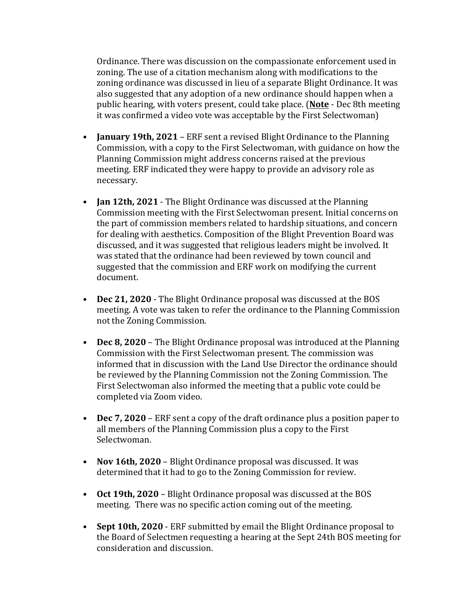Ordinance. There was discussion on the compassionate enforcement used in zoning. The use of a citation mechanism along with modifications to the zoning ordinance was discussed in lieu of a separate Blight Ordinance. It was also suggested that any adoption of a new ordinance should happen when a public hearing, with voters present, could take place. (**Note** - Dec 8th meeting it was confirmed a video vote was acceptable by the First Selectwoman)

- **January 19th, 2021** ERF sent a revised Blight Ordinance to the Planning Commission, with a copy to the First Selectwoman, with guidance on how the Planning Commission might address concerns raised at the previous meeting. ERF indicated they were happy to provide an advisory role as necessary.
- **Jan 12th, 2021** The Blight Ordinance was discussed at the Planning Commission meeting with the First Selectwoman present. Initial concerns on the part of commission members related to hardship situations, and concern for dealing with aesthetics. Composition of the Blight Prevention Board was discussed, and it was suggested that religious leaders might be involved. It was stated that the ordinance had been reviewed by town council and suggested that the commission and ERF work on modifying the current document.
- **Dec 21, 2020** The Blight Ordinance proposal was discussed at the BOS meeting. A vote was taken to refer the ordinance to the Planning Commission not the Zoning Commission.
- **Dec 8, 2020** The Blight Ordinance proposal was introduced at the Planning Commission with the First Selectwoman present. The commission was informed that in discussion with the Land Use Director the ordinance should be reviewed by the Planning Commission not the Zoning Commission. The First Selectwoman also informed the meeting that a public vote could be completed via Zoom video.
- **Dec 7, 2020** ERF sent a copy of the draft ordinance plus a position paper to all members of the Planning Commission plus a copy to the First Selectwoman.
- **Nov 16th, 2020** Blight Ordinance proposal was discussed. It was determined that it had to go to the Zoning Commission for review.
- Oct 19th, 2020 Blight Ordinance proposal was discussed at the BOS meeting. There was no specific action coming out of the meeting.
- Sept 10th, 2020 ERF submitted by email the Blight Ordinance proposal to the Board of Selectmen requesting a hearing at the Sept 24th BOS meeting for consideration and discussion.